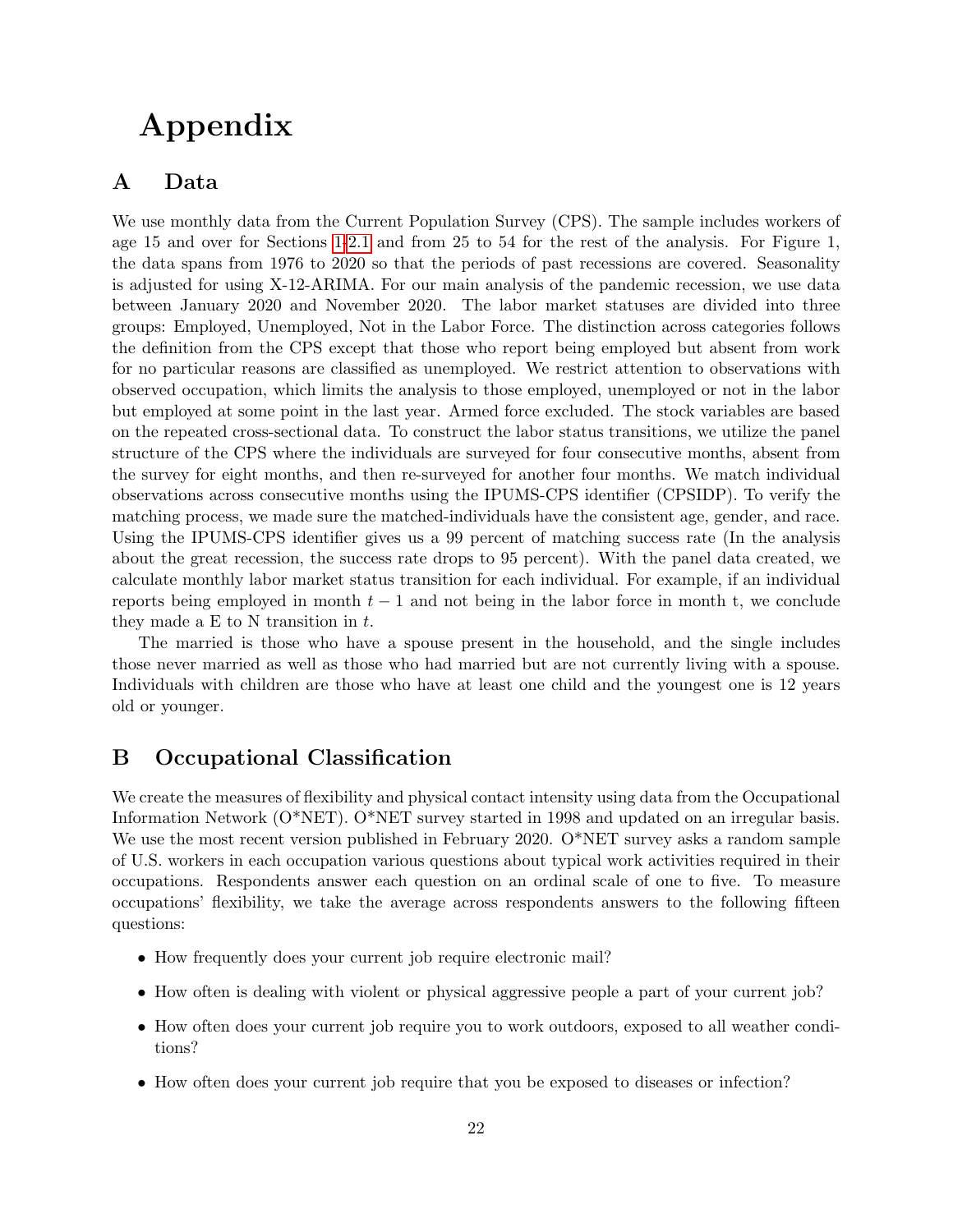# Appendix

# A Data

We use monthly data from the Current Population Survey (CPS). The sample includes workers of age 15 and over for Sections 1-2.1 and from 25 to 54 for the rest of the analysis. For Figure 1, the data spans from 1976 to 2020 so that the periods of past recessions are covered. Seasonality is adjusted for using X-12-ARIMA. For our main analysis of the pandemic recession, we use data between January 2020 and November 2020. The labor market statuses are divided into three groups: Employed, Unemployed, Not in the Labor Force. The distinction across categories follows the definition from the CPS except that those who report being employed but absent from work for no particular reasons are classified as unemployed. We restrict attention to observations with observed occupation, which limits the analysis to those employed, unemployed or not in the labor but employed at some point in the last year. Armed force excluded. The stock variables are based on the repeated cross-sectional data. To construct the labor status transitions, we utilize the panel structure of the CPS where the individuals are surveyed for four consecutive months, absent from the survey for eight months, and then re-surveyed for another four months. We match individual observations across consecutive months using the IPUMS-CPS identifier (CPSIDP). To verify the matching process, we made sure the matched-individuals have the consistent age, gender, and race. Using the IPUMS-CPS identifier gives us a 99 percent of matching success rate (In the analysis about the great recession, the success rate drops to 95 percent). With the panel data created, we calculate monthly labor market status transition for each individual. For example, if an individual reports being employed in month  $t - 1$  and not being in the labor force in month t, we conclude they made a E to N transition in  $t$ .

The married is those who have a spouse present in the household, and the single includes those never married as well as those who had married but are not currently living with a spouse. Individuals with children are those who have at least one child and the youngest one is 12 years old or younger.

## B Occupational Classification

We create the measures of flexibility and physical contact intensity using data from the Occupational Information Network (O\*NET). O\*NET survey started in 1998 and updated on an irregular basis. We use the most recent version published in February 2020. O\*NET survey asks a random sample of U.S. workers in each occupation various questions about typical work activities required in their occupations. Respondents answer each question on an ordinal scale of one to five. To measure occupations' flexibility, we take the average across respondents answers to the following fifteen questions:

- How frequently does your current job require electronic mail?
- How often is dealing with violent or physical aggressive people a part of your current job?
- How often does your current job require you to work outdoors, exposed to all weather conditions?
- How often does your current job require that you be exposed to diseases or infection?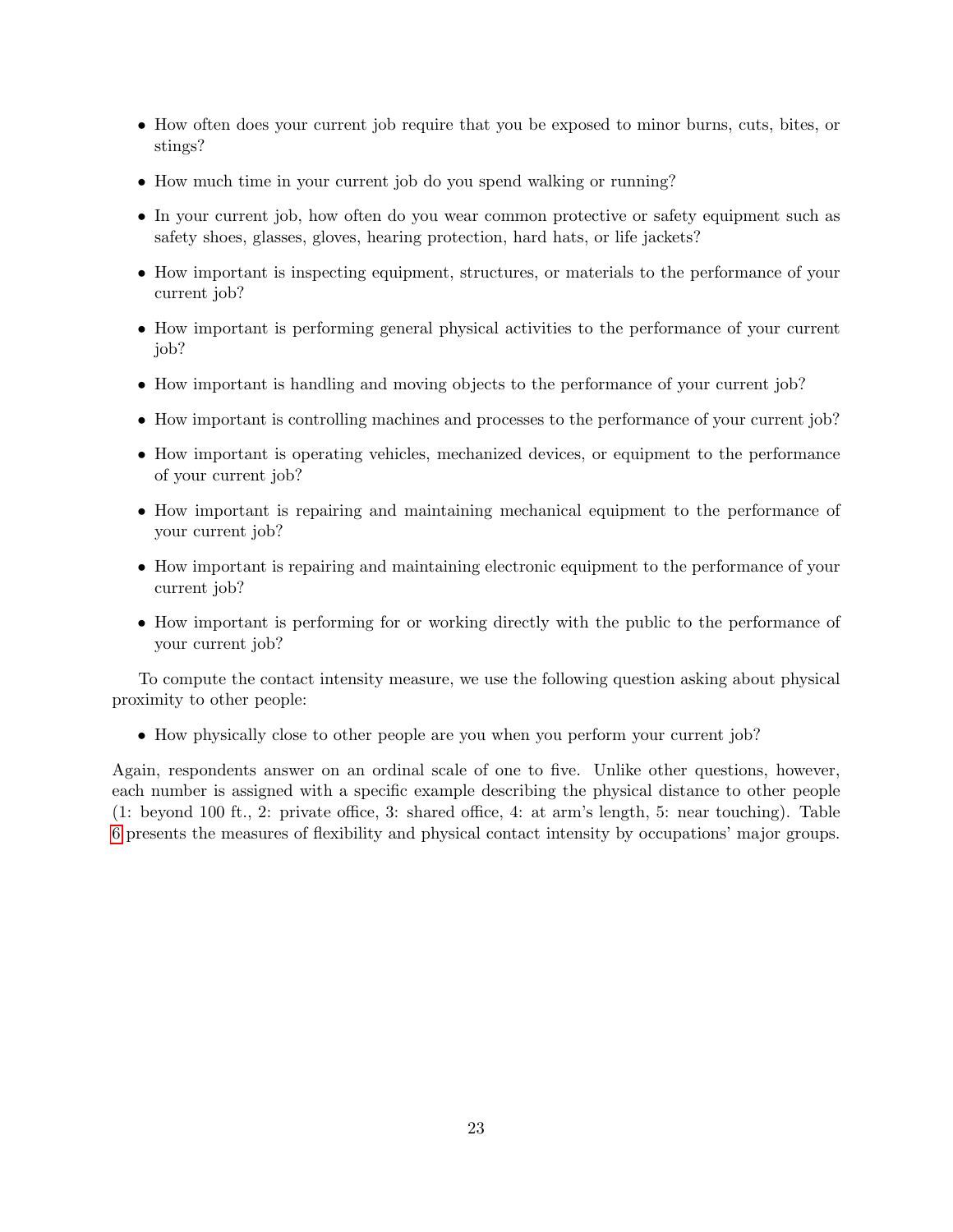- How often does your current job require that you be exposed to minor burns, cuts, bites, or stings?
- How much time in your current job do you spend walking or running?
- In your current job, how often do you wear common protective or safety equipment such as safety shoes, glasses, gloves, hearing protection, hard hats, or life jackets?
- How important is inspecting equipment, structures, or materials to the performance of your current job?
- How important is performing general physical activities to the performance of your current job?
- How important is handling and moving objects to the performance of your current job?
- How important is controlling machines and processes to the performance of your current job?
- How important is operating vehicles, mechanized devices, or equipment to the performance of your current job?
- How important is repairing and maintaining mechanical equipment to the performance of your current job?
- How important is repairing and maintaining electronic equipment to the performance of your current job?
- How important is performing for or working directly with the public to the performance of your current job?

To compute the contact intensity measure, we use the following question asking about physical proximity to other people:

• How physically close to other people are you when you perform your current job?

Again, respondents answer on an ordinal scale of one to five. Unlike other questions, however, each number is assigned with a specific example describing the physical distance to other people (1: beyond 100 ft., 2: private office, 3: shared office, 4: at arm's length, 5: near touching). Table 6 presents the measures of flexibility and physical contact intensity by occupations' major groups.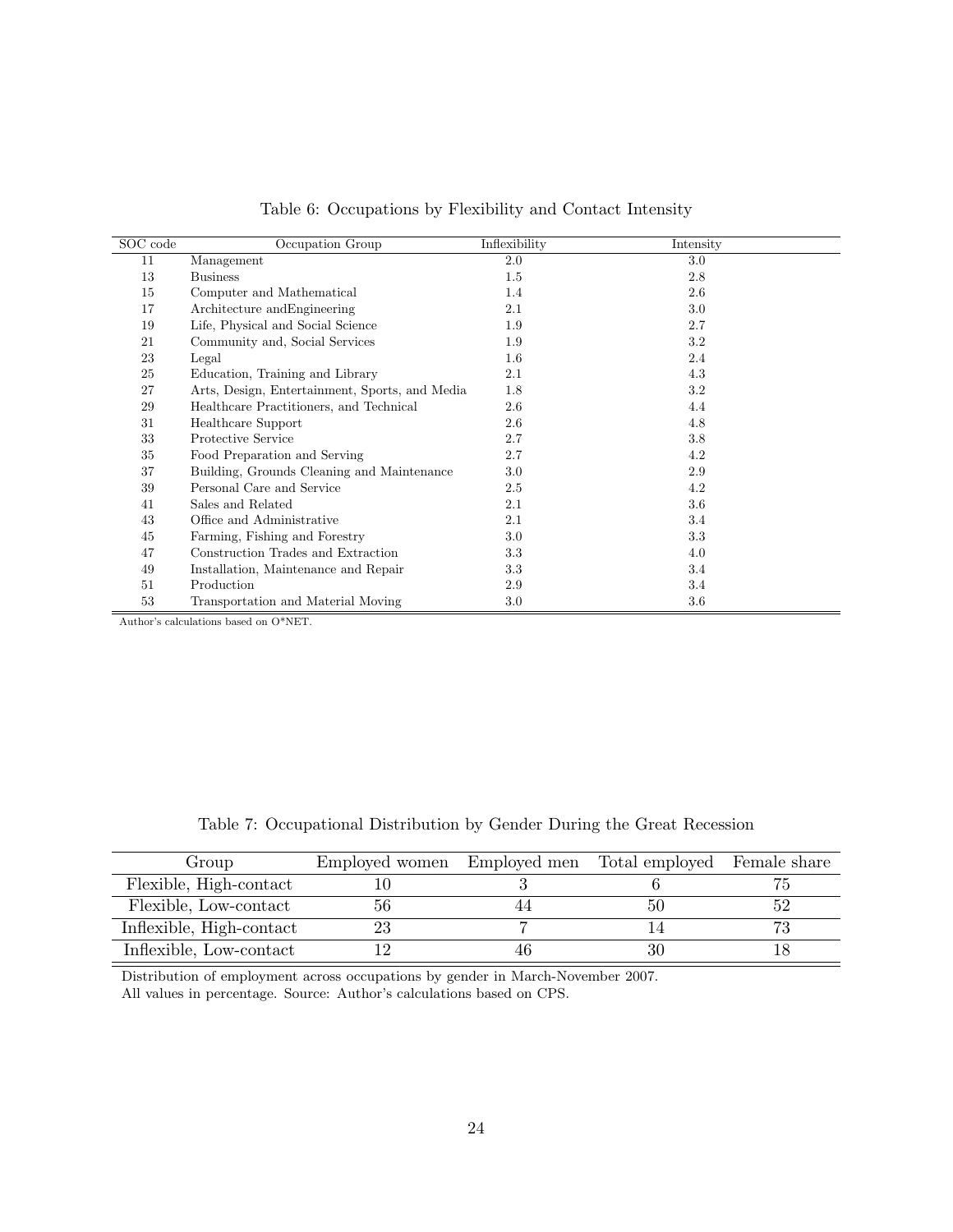| SOC code | Occupation Group                               | Inflexibility | Intensity |
|----------|------------------------------------------------|---------------|-----------|
| 11       | Management                                     | 2.0           | 3.0       |
| 13       | <b>Business</b>                                | $1.5\,$       | 2.8       |
| 15       | Computer and Mathematical                      | 1.4           | 2.6       |
| 17       | Architecture and Engineering                   | 2.1           | 3.0       |
| 19       | Life, Physical and Social Science              | 1.9           | 2.7       |
| 21       | Community and, Social Services                 | 1.9           | 3.2       |
| 23       | Legal                                          | $1.6\,$       | 2.4       |
| 25       | Education, Training and Library                | 2.1           | 4.3       |
| 27       | Arts, Design, Entertainment, Sports, and Media | 1.8           | 3.2       |
| 29       | Healthcare Practitioners, and Technical        | 2.6           | 4.4       |
| 31       | Healthcare Support                             | 2.6           | 4.8       |
| 33       | Protective Service                             | 2.7           | 3.8       |
| 35       | Food Preparation and Serving                   | 2.7           | 4.2       |
| 37       | Building, Grounds Cleaning and Maintenance     | $3.0\,$       | 2.9       |
| 39       | Personal Care and Service                      | 2.5           | 4.2       |
| 41       | Sales and Related                              | $2.1\,$       | 3.6       |
| 43       | Office and Administrative                      | 2.1           | 3.4       |
| 45       | Farming, Fishing and Forestry                  | $3.0\,$       | 3.3       |
| 47       | Construction Trades and Extraction             | 3.3           | 4.0       |
| 49       | Installation, Maintenance and Repair           | 3.3           | 3.4       |
| 51       | Production                                     | 2.9           | 3.4       |
| 53       | Transportation and Material Moving             | $3.0\,$       | 3.6       |

Table 6: Occupations by Flexibility and Contact Intensity

Author's calculations based on O\*NET.

| Table 7: Occupational Distribution by Gender During the Great Recession |  |  |  |  |
|-------------------------------------------------------------------------|--|--|--|--|
|                                                                         |  |  |  |  |

| Group                    | Employed women | Employed men Total employed Female share |           |
|--------------------------|----------------|------------------------------------------|-----------|
| Flexible, High-contact   |                |                                          |           |
| Flexible, Low-contact    | 56             |                                          | 52        |
| Inflexible, High-contact |                |                                          | $H\sigma$ |
| Inflexible, Low-contact  |                |                                          |           |

Distribution of employment across occupations by gender in March-November 2007. All values in percentage. Source: Author's calculations based on CPS.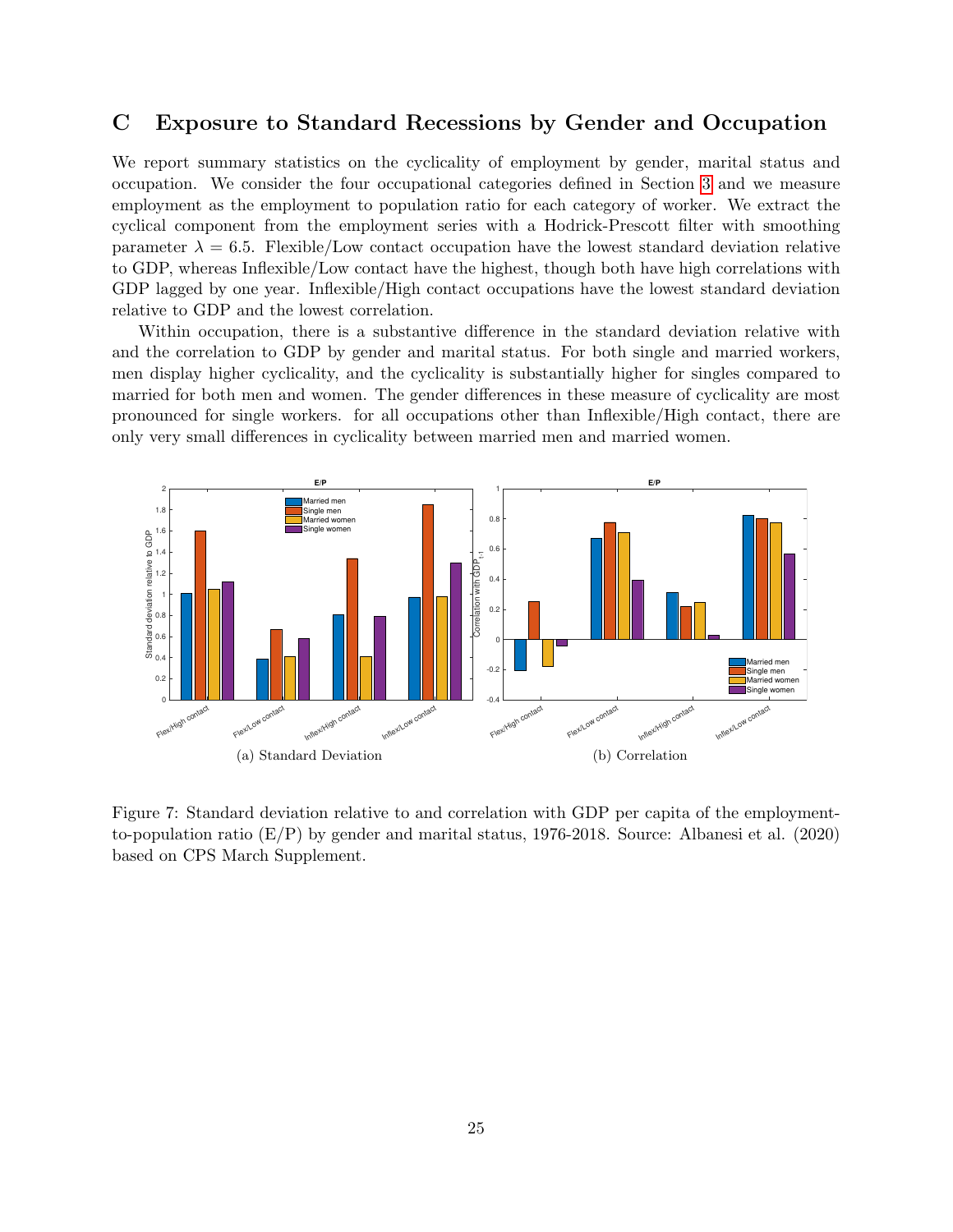## C Exposure to Standard Recessions by Gender and Occupation

We report summary statistics on the cyclicality of employment by gender, marital status and occupation. We consider the four occupational categories defined in Section 3 and we measure employment as the employment to population ratio for each category of worker. We extract the cyclical component from the employment series with a Hodrick-Prescott filter with smoothing parameter  $\lambda = 6.5$ . Flexible/Low contact occupation have the lowest standard deviation relative to GDP, whereas Inflexible/Low contact have the highest, though both have high correlations with GDP lagged by one year. Inflexible/High contact occupations have the lowest standard deviation relative to GDP and the lowest correlation.

Within occupation, there is a substantive difference in the standard deviation relative with and the correlation to GDP by gender and marital status. For both single and married workers, men display higher cyclicality, and the cyclicality is substantially higher for singles compared to married for both men and women. The gender differences in these measure of cyclicality are most pronounced for single workers. for all occupations other than Inflexible/High contact, there are only very small differences in cyclicality between married men and married women.



Figure 7: Standard deviation relative to and correlation with GDP per capita of the employmentto-population ratio (E/P) by gender and marital status, 1976-2018. Source: Albanesi et al. (2020) based on CPS March Supplement.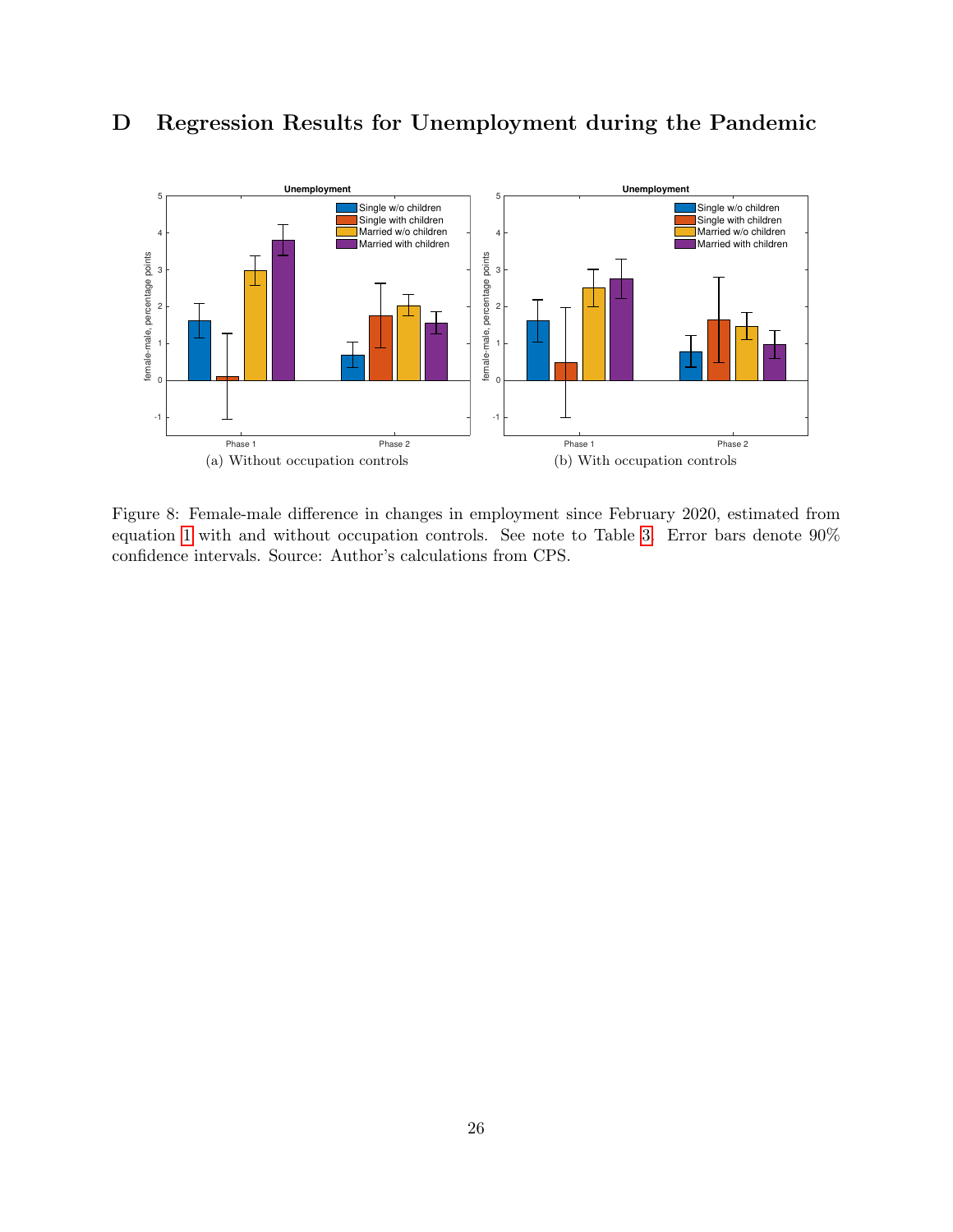

# D Regression Results for Unemployment during the Pandemic

Figure 8: Female-male difference in changes in employment since February 2020, estimated from equation 1 with and without occupation controls. See note to Table 3. Error bars denote 90% confidence intervals. Source: Author's calculations from CPS.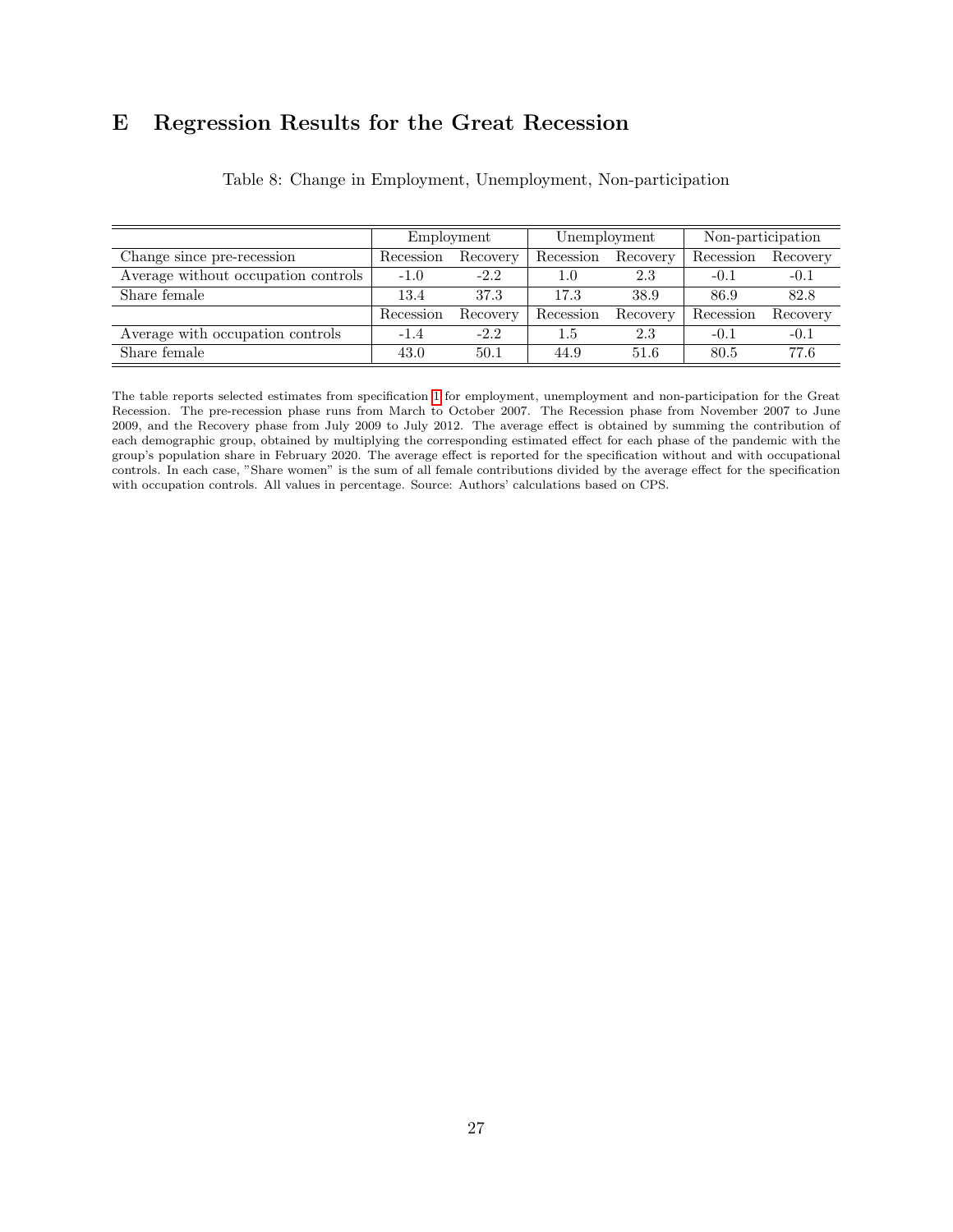# E Regression Results for the Great Recession

|                                     | Employment |          | Unemployment |          | Non-participation |          |
|-------------------------------------|------------|----------|--------------|----------|-------------------|----------|
| Change since pre-recession          | Recession  | Recovery | Recession    | Recovery | Recession         | Recovery |
| Average without occupation controls | $-1.0$     | $-2.2$   | 1.0          | $2.3\,$  | $-0.1$            | $-0.1$   |
| Share female                        | 13.4       | 37.3     | 17.3         | 38.9     | 86.9              | 82.8     |
|                                     | Recession  | Recovery | Recession    | Recovery | Recession         | Recovery |
| Average with occupation controls    | $-1.4$     | $-2.2$   | 1.5          | 2.3      | $-0.1$            | $-0.1$   |
| Share female                        | 43.0       | 50.1     | 44.9         | 51.6     | 80.5              | 77.6     |

Table 8: Change in Employment, Unemployment, Non-participation

The table reports selected estimates from specification 1 for employment, unemployment and non-participation for the Great Recession. The pre-recession phase runs from March to October 2007. The Recession phase from November 2007 to June 2009, and the Recovery phase from July 2009 to July 2012. The average effect is obtained by summing the contribution of each demographic group, obtained by multiplying the corresponding estimated effect for each phase of the pandemic with the group's population share in February 2020. The average effect is reported for the specification without and with occupational controls. In each case, "Share women" is the sum of all female contributions divided by the average effect for the specification with occupation controls. All values in percentage. Source: Authors' calculations based on CPS.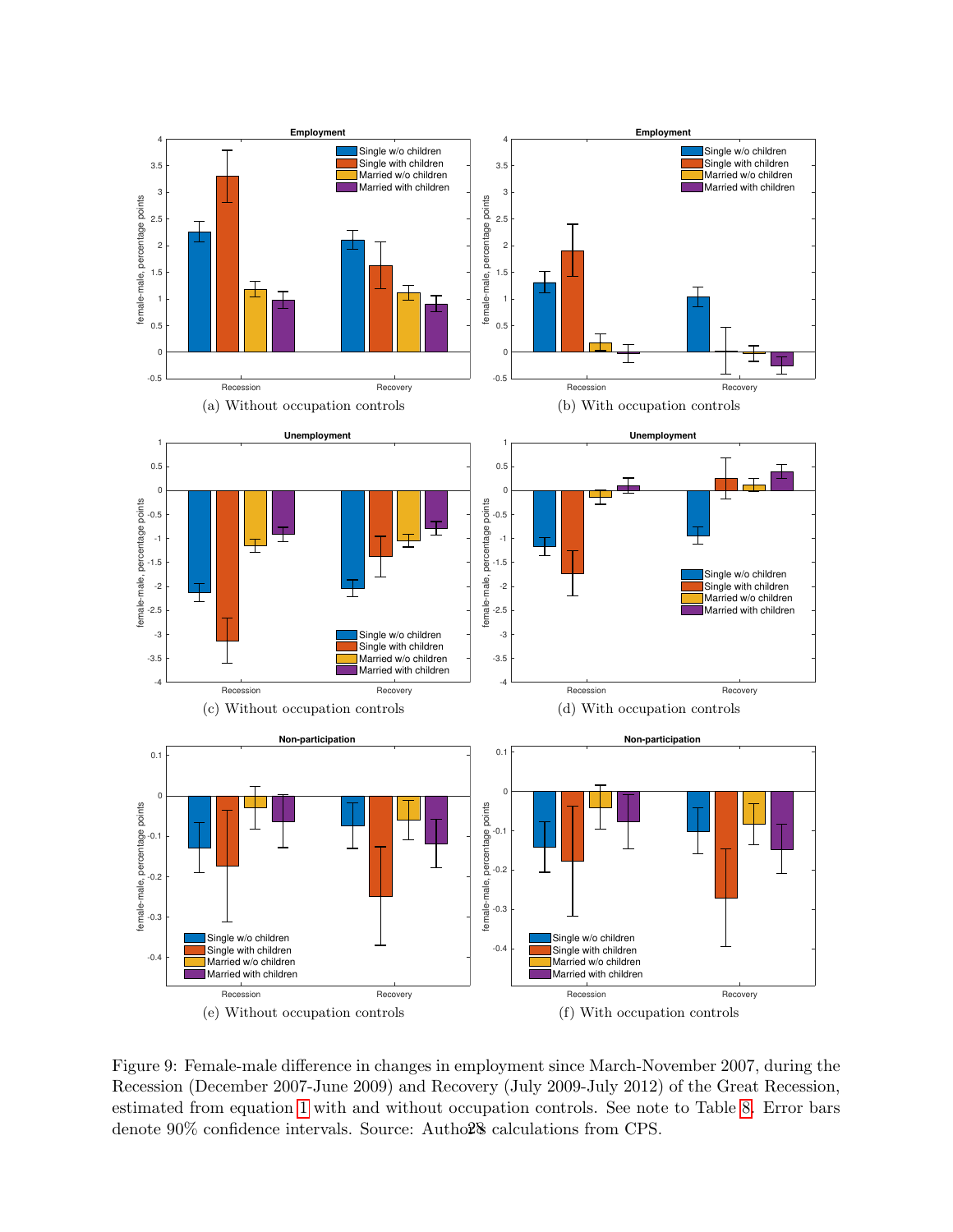

Figure 9: Female-male difference in changes in employment since March-November 2007, during the Recession (December 2007-June 2009) and Recovery (July 2009-July 2012) of the Great Recession, estimated from equation 1 with and without occupation controls. See note to Table 8. Error bars denote  $90\%$  confidence intervals. Source: Autho $2\%$  calculations from CPS.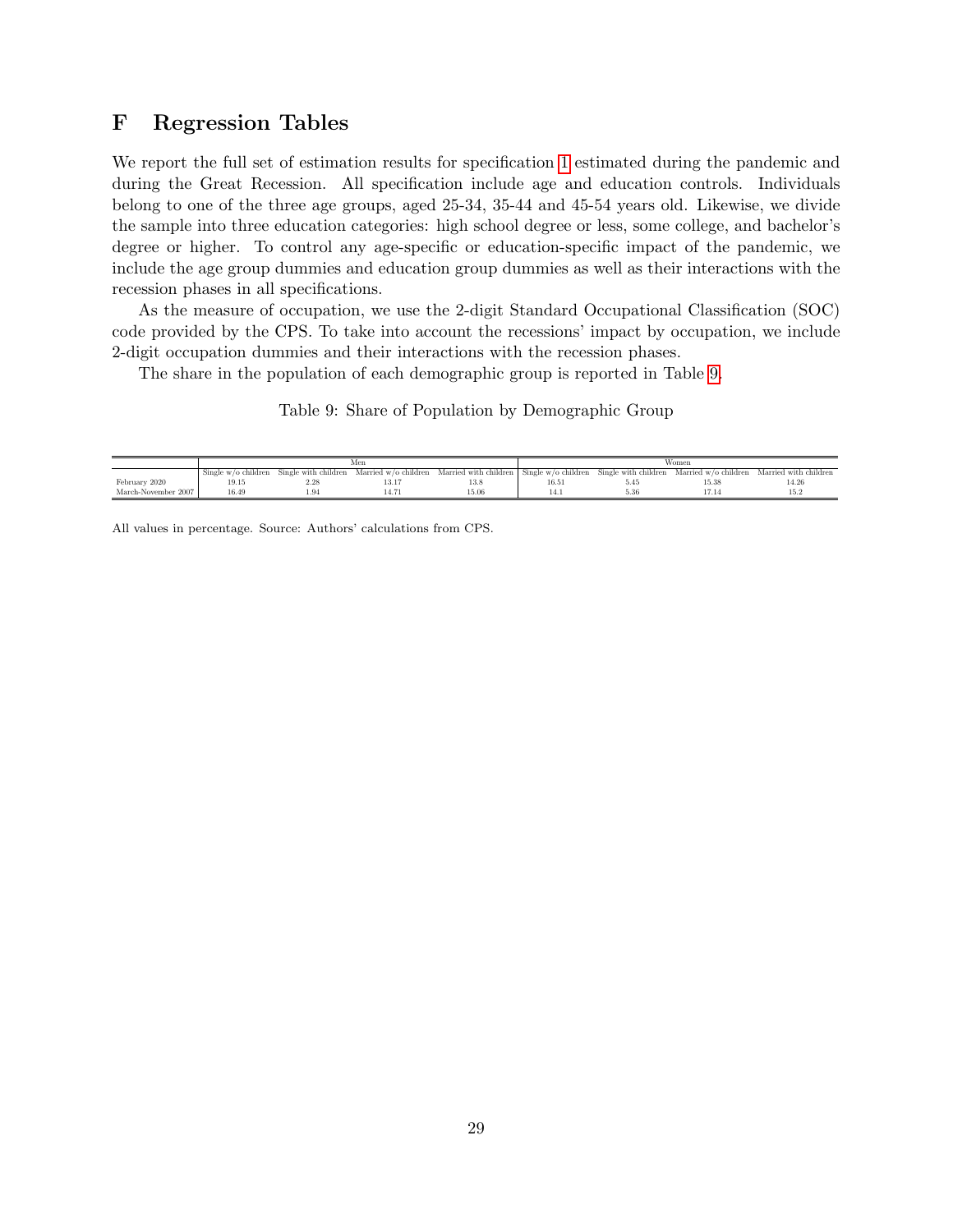## F Regression Tables

We report the full set of estimation results for specification 1 estimated during the pandemic and during the Great Recession. All specification include age and education controls. Individuals belong to one of the three age groups, aged 25-34, 35-44 and 45-54 years old. Likewise, we divide the sample into three education categories: high school degree or less, some college, and bachelor's degree or higher. To control any age-specific or education-specific impact of the pandemic, we include the age group dummies and education group dummies as well as their interactions with the recession phases in all specifications.

As the measure of occupation, we use the 2-digit Standard Occupational Classification (SOC) code provided by the CPS. To take into account the recessions' impact by occupation, we include 2-digit occupation dummies and their interactions with the recession phases.

The share in the population of each demographic group is reported in Table 9.

Table 9: Share of Population by Demographic Group

|                     |                       |                      | Men                  |                                             | Women |                      |                      |                       |  |
|---------------------|-----------------------|----------------------|----------------------|---------------------------------------------|-------|----------------------|----------------------|-----------------------|--|
|                     | Single $w/o$ children | Single with children | Married w/o children | Married with children   Single w/o children |       | Single with children | Married w/o children | Married with children |  |
| February 2020       | 19.15                 | 2.28                 | 10.1                 | 13.8                                        | 16.51 |                      | 15.38                | 14.26                 |  |
| March-November 2007 | 16.49                 |                      |                      | 15.06                                       |       |                      |                      |                       |  |
|                     |                       |                      |                      |                                             |       |                      |                      |                       |  |

All values in percentage. Source: Authors' calculations from CPS.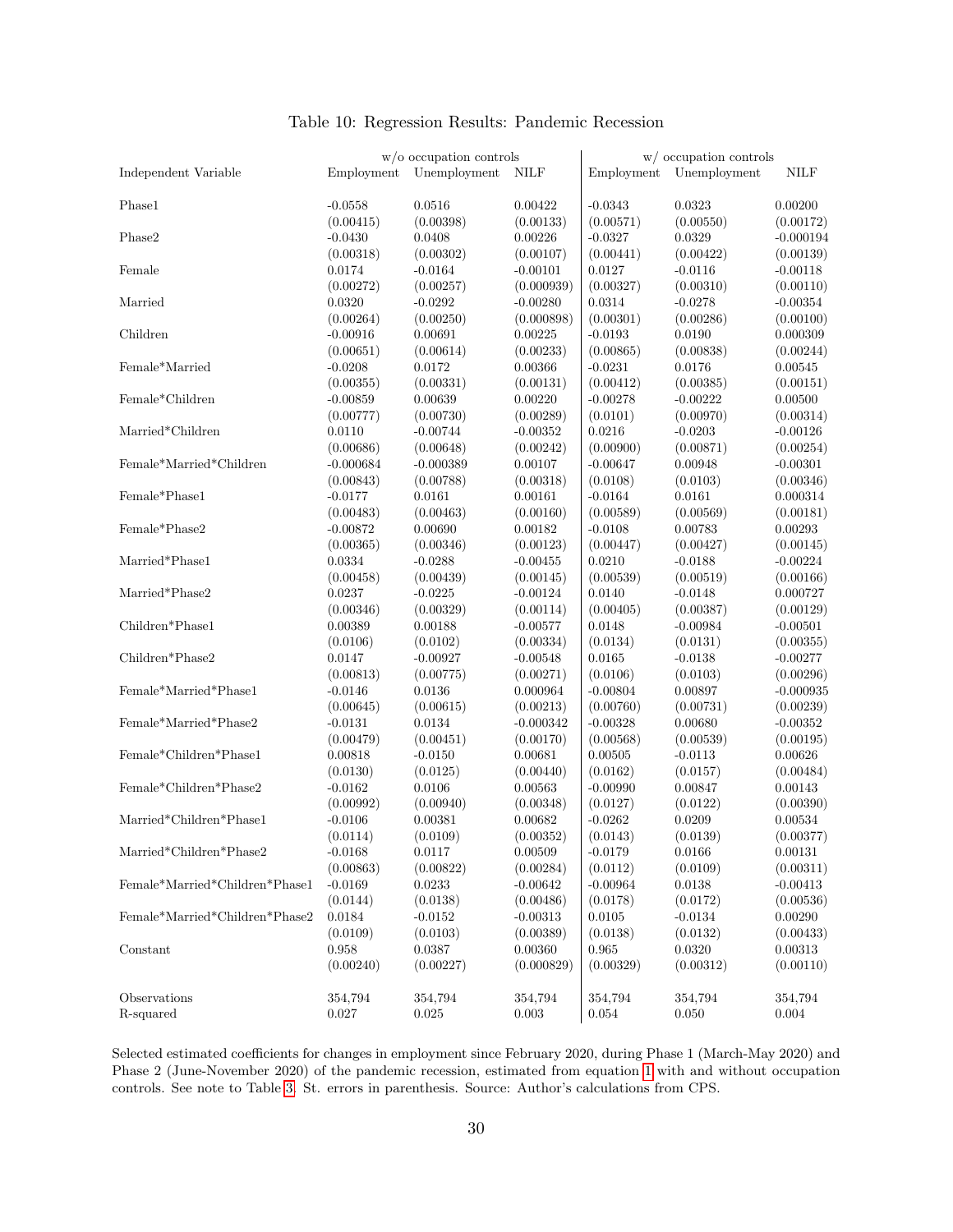|                                |                       | $w/o$ occupation controls |                         |                       | $w/$ occupation controls |                         |
|--------------------------------|-----------------------|---------------------------|-------------------------|-----------------------|--------------------------|-------------------------|
| Independent Variable           | Employment            | Unemployment              | <b>NILF</b>             | Employment            | Unemployment             | <b>NILF</b>             |
| Phase1                         | $-0.0558$             | 0.0516                    | 0.00422                 | $-0.0343$             | 0.0323                   | 0.00200                 |
|                                | (0.00415)             | (0.00398)                 | (0.00133)               | (0.00571)             | (0.00550)                | (0.00172)               |
| Phase2                         | $-0.0430$             | 0.0408                    | 0.00226                 | $-0.0327$             | 0.0329                   | $-0.000194$             |
|                                | (0.00318)             | (0.00302)                 | (0.00107)               | (0.00441)             | (0.00422)                | (0.00139)               |
| Female                         | 0.0174                | $-0.0164$                 | $-0.00101$              | 0.0127                | $-0.0116$                | $-0.00118$              |
|                                | (0.00272)             | (0.00257)                 | (0.000939)              | (0.00327)             | (0.00310)                | (0.00110)               |
| Married                        | 0.0320                | $-0.0292$                 | $-0.00280$              | 0.0314                | $-0.0278$                | $-0.00354$              |
|                                | (0.00264)             | (0.00250)                 | (0.000898)              | (0.00301)             | (0.00286)                | (0.00100)               |
| Children                       | $-0.00916$            | 0.00691                   | 0.00225                 | $-0.0193$             | 0.0190                   | 0.000309                |
|                                | (0.00651)             | (0.00614)                 | (0.00233)               | (0.00865)             | (0.00838)                | (0.00244)               |
| Female*Married                 | $-0.0208$             | 0.0172                    | 0.00366                 | $-0.0231$             | 0.0176                   | 0.00545                 |
|                                | (0.00355)             | (0.00331)                 | (0.00131)               | (0.00412)             | (0.00385)                | (0.00151)               |
| Female*Children                | $-0.00859$            | 0.00639                   | 0.00220                 | $-0.00278$            | $-0.00222$               | 0.00500                 |
|                                | (0.00777)             | (0.00730)                 | (0.00289)               | (0.0101)              | (0.00970)                | (0.00314)               |
| $Married*Children$             | 0.0110                | $-0.00744$                | $-0.00352$              | 0.0216                | $-0.0203$                | $-0.00126$              |
|                                | (0.00686)             | (0.00648)                 | (0.00242)               | (0.00900)             | (0.00871)                | (0.00254)               |
| Female*Married*Children        | $-0.000684$           | $-0.000389$               | 0.00107                 | $-0.00647$            | 0.00948                  | $-0.00301$              |
|                                | (0.00843)             | (0.00788)                 | (0.00318)               | (0.0108)              | (0.0103)                 | (0.00346)               |
| Female*Phase1                  | $-0.0177$             | 0.0161                    | 0.00161                 | $-0.0164$             | 0.0161                   | 0.000314                |
|                                | (0.00483)             | (0.00463)                 | (0.00160)               | (0.00589)             | (0.00569)                | (0.00181)               |
| Female*Phase2                  | $-0.00872$            | 0.00690                   | 0.00182                 | $-0.0108$             | 0.00783                  | 0.00293                 |
|                                | (0.00365)             | (0.00346)                 | (0.00123)               | (0.00447)             | (0.00427)                | (0.00145)               |
| Married*Phase1                 | 0.0334                | $-0.0288$                 | $-0.00455$              | 0.0210                | $-0.0188$                | $-0.00224$              |
|                                | (0.00458)             | (0.00439)                 | (0.00145)               | (0.00539)             | (0.00519)                | (0.00166)               |
| Married*Phase2                 | 0.0237                | $-0.0225$                 | $-0.00124$              | 0.0140                | $-0.0148$                | 0.000727                |
|                                | (0.00346)             | (0.00329)                 | (0.00114)               | (0.00405)             | (0.00387)                | (0.00129)               |
| Children*Phase1                | 0.00389               | 0.00188                   | $-0.00577$              | 0.0148                | $-0.00984$               | $-0.00501$              |
|                                | (0.0106)              | (0.0102)                  | (0.00334)               | (0.0134)              | (0.0131)                 | (0.00355)               |
| Children*Phase2                | 0.0147                | $-0.00927$                | $-0.00548$              | 0.0165                | $-0.0138$                | $-0.00277$              |
|                                | (0.00813)             | (0.00775)                 | (0.00271)               | (0.0106)              | (0.0103)                 | (0.00296)               |
| Female*Married*Phase1          | $-0.0146$             | 0.0136                    | 0.000964                | $-0.00804$            | 0.00897                  | $-0.000935$             |
|                                | (0.00645)             | (0.00615)                 | (0.00213)               | (0.00760)             | (0.00731)                | (0.00239)               |
| Female*Married*Phase2          | $-0.0131$             | 0.0134                    | $-0.000342$             | $-0.00328$            | 0.00680                  | $-0.00352$              |
|                                | (0.00479)             | (0.00451)                 | (0.00170)               | (0.00568)             | (0.00539)                | (0.00195)               |
| Female*Children*Phase1         | 0.00818               | $-0.0150$                 | 0.00681                 | 0.00505               | $-0.0113$                | 0.00626                 |
|                                | (0.0130)              | (0.0125)                  | (0.00440)               | (0.0162)              | (0.0157)                 | (0.00484)               |
| Female*Children*Phase2         | $-0.0162$             | 0.0106                    | 0.00563                 | $-0.00990$            | 0.00847                  | 0.00143                 |
| Married*Children*Phase1        | (0.00992)             | (0.00940)                 | (0.00348)               | (0.0127)              | (0.0122)                 | (0.00390)               |
|                                | $-0.0106$             | 0.00381                   | 0.00682                 | $-0.0262$             | 0.0209                   | 0.00534                 |
| Married*Children*Phase2        | (0.0114)<br>$-0.0168$ | (0.0109)<br>0.0117        | (0.00352)<br>0.00509    | (0.0143)<br>$-0.0179$ | (0.0139)<br>0.0166       | (0.00377)<br>0.00131    |
|                                | (0.00863)             |                           |                         | (0.0112)              | (0.0109)                 |                         |
| Female*Married*Children*Phase1 | $-0.0169$             | (0.00822)<br>0.0233       | (0.00284)<br>$-0.00642$ | $-0.00964$            | 0.0138                   | (0.00311)<br>$-0.00413$ |
|                                | (0.0144)              | (0.0138)                  | (0.00486)               | (0.0178)              | (0.0172)                 | (0.00536)               |
| Female*Married*Children*Phase2 | 0.0184                | $-0.0152$                 | $-0.00313$              | 0.0105                | $-0.0134$                | $0.00290\,$             |
|                                | (0.0109)              | (0.0103)                  | (0.00389)               | (0.0138)              | (0.0132)                 | (0.00433)               |
| Constant                       | 0.958                 | 0.0387                    | 0.00360                 | 0.965                 | 0.0320                   | 0.00313                 |
|                                | (0.00240)             | (0.00227)                 | (0.000829)              | (0.00329)             | (0.00312)                | (0.00110)               |
|                                |                       |                           |                         |                       |                          |                         |
| Observations                   | 354,794               | 354,794                   | 354,794                 | 354,794               | 354,794                  | 354,794                 |
| R-squared                      | 0.027                 | 0.025                     | $\,0.003\,$             | $\,0.054\,$           | 0.050                    | 0.004                   |
|                                |                       |                           |                         |                       |                          |                         |

#### Table 10: Regression Results: Pandemic Recession

Selected estimated coefficients for changes in employment since February 2020, during Phase 1 (March-May 2020) and Phase 2 (June-November 2020) of the pandemic recession, estimated from equation 1 with and without occupation controls. See note to Table 3. St. errors in parenthesis. Source: Author's calculations from CPS.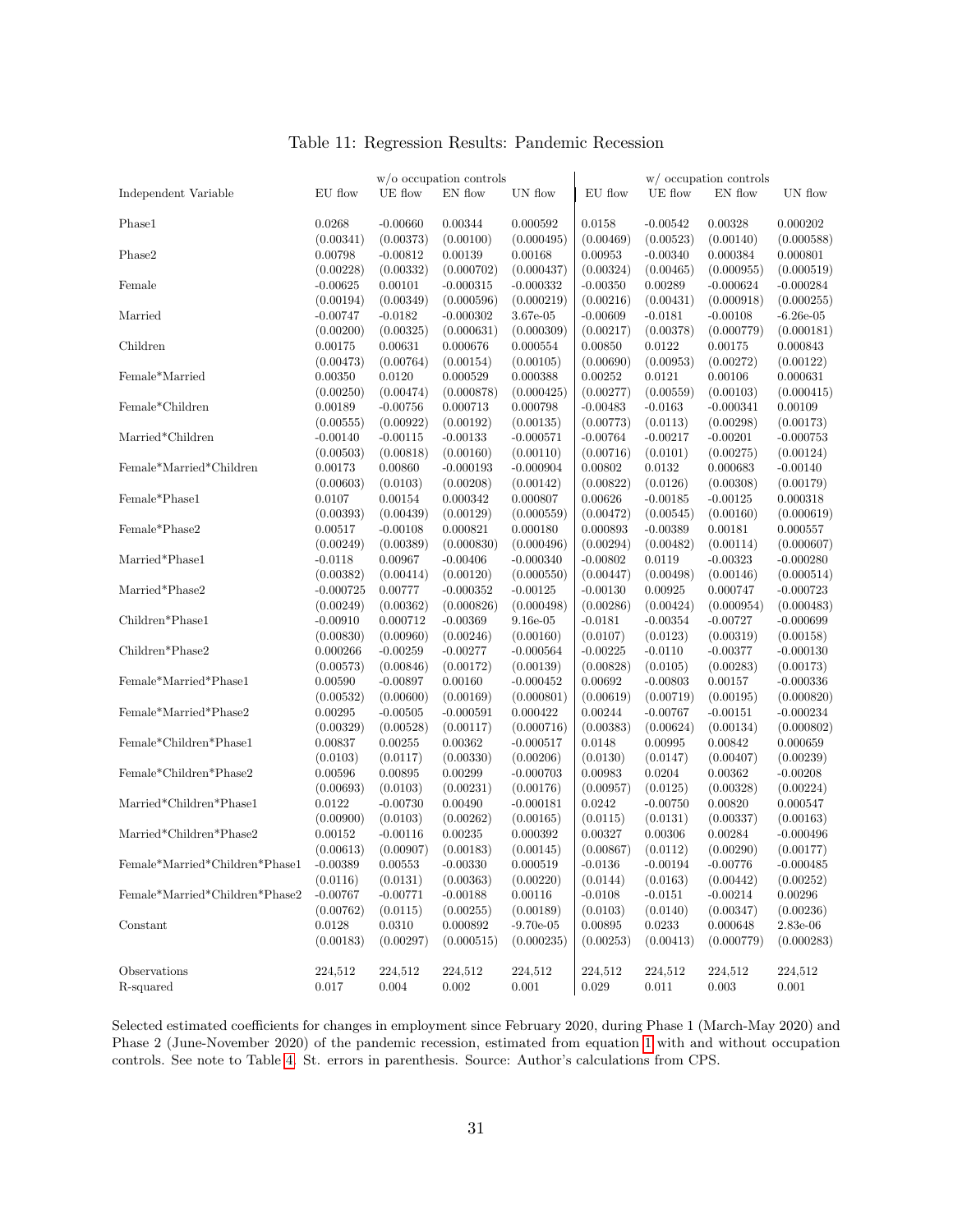|                                |                                  |                         | $w$ /o occupation controls        |                                        |                                 |                         | w/ occupation controls               |                           |
|--------------------------------|----------------------------------|-------------------------|-----------------------------------|----------------------------------------|---------------------------------|-------------------------|--------------------------------------|---------------------------|
| Independent Variable           | EU flow                          | UE flow                 | EN flow                           | UN flow                                | EU flow                         | UE flow                 | EN flow                              | UN flow                   |
| Phase1                         | 0.0268                           | $-0.00660$              | 0.00344                           | 0.000592                               | 0.0158                          | $-0.00542$              | 0.00328                              | 0.000202                  |
|                                | (0.00341)                        | (0.00373)               | (0.00100)                         | (0.000495)                             | (0.00469)                       | (0.00523)               | (0.00140)                            | (0.000588)                |
| Phase2                         | 0.00798                          | $-0.00812$              | 0.00139                           | 0.00168                                | 0.00953                         | $-0.00340$              | 0.000384                             | 0.000801                  |
|                                | (0.00228)                        | (0.00332)               | (0.000702)                        | (0.000437)                             | (0.00324)                       | (0.00465)               | (0.000955)                           | (0.000519)                |
| Female                         | $-0.00625$                       | 0.00101                 | $-0.000315$                       | $-0.000332$                            | $-0.00350$                      | 0.00289                 | $-0.000624$                          | $-0.000284$               |
|                                | (0.00194)                        | (0.00349)               | (0.000596)                        | (0.000219)                             | (0.00216)                       | (0.00431)               | (0.000918)                           | (0.000255)                |
| Married                        | $-0.00747$                       | $-0.0182$               | $-0.000302$                       | 3.67e-05                               | $-0.00609$                      | $-0.0181$               | $-0.00108$                           | $-6.26e-05$               |
|                                | (0.00200)                        | (0.00325)               | (0.000631)                        | (0.000309)                             | (0.00217)                       | (0.00378)               | (0.000779)                           | (0.000181)                |
| Children                       | 0.00175                          | 0.00631                 | 0.000676                          | 0.000554                               | 0.00850                         | 0.0122                  | 0.00175                              | 0.000843                  |
|                                | (0.00473)                        | (0.00764)               | (0.00154)                         | (0.00105)                              | (0.00690)                       | (0.00953)               | (0.00272)                            | (0.00122)                 |
| Female*Married                 | 0.00350                          | 0.0120                  | 0.000529                          | 0.000388                               | 0.00252                         | 0.0121                  | 0.00106                              | 0.000631                  |
|                                | (0.00250)                        | (0.00474)               | (0.000878)                        | (0.000425)                             | (0.00277)                       | (0.00559)               | (0.00103)                            | (0.000415)                |
| Female*Children                | 0.00189                          | $-0.00756$              | 0.000713                          | 0.000798                               | $-0.00483$                      | $-0.0163$               | $-0.000341$                          | 0.00109                   |
|                                | (0.00555)                        | (0.00922)               | (0.00192)                         | (0.00135)                              | (0.00773)                       | (0.0113)                | (0.00298)                            | (0.00173)                 |
| Married*Children               | $-0.00140$                       | $-0.00115$              | $-0.00133$                        | $-0.000571$                            | $-0.00764$                      | $-0.00217$              | $-0.00201$                           | $-0.000753$               |
|                                | (0.00503)                        | (0.00818)               | (0.00160)                         | (0.00110)                              | (0.00716)                       | (0.0101)                | (0.00275)                            | (0.00124)                 |
| Female*Married*Children        | 0.00173<br>(0.00603)             | 0.00860<br>(0.0103)     | $-0.000193$<br>(0.00208)          | $-0.000904$                            | 0.00802<br>(0.00822)            | 0.0132<br>(0.0126)      | 0.000683<br>(0.00308)                | $-0.00140$<br>(0.00179)   |
| Female*Phase1                  | 0.0107                           | 0.00154                 | 0.000342                          | (0.00142)<br>0.000807                  | 0.00626                         | $-0.00185$              | $-0.00125$                           | 0.000318                  |
| Female*Phase2                  | (0.00393)<br>0.00517             | (0.00439)<br>$-0.00108$ | (0.00129)<br>0.000821             | (0.000559)<br>0.000180<br>(0.000496)   | (0.00472)<br>0.000893           | (0.00545)<br>$-0.00389$ | (0.00160)<br>0.00181                 | (0.000619)<br>0.000557    |
| Married*Phase1                 | (0.00249)<br>$-0.0118$           | (0.00389)<br>0.00967    | (0.000830)<br>$-0.00406$          | $-0.000340$                            | (0.00294)<br>$-0.00802$         | (0.00482)<br>0.0119     | (0.00114)<br>$-0.00323$              | (0.000607)<br>$-0.000280$ |
| Married*Phase2                 | (0.00382)                        | (0.00414)               | (0.00120)                         | (0.000550)                             | (0.00447)                       | (0.00498)               | (0.00146)                            | (0.000514)                |
|                                | $-0.000725$                      | 0.00777                 | $-0.000352$                       | $-0.00125$                             | $-0.00130$                      | 0.00925                 | 0.000747                             | $-0.000723$               |
| Children*Phase1                | (0.00249)                        | (0.00362)               | (0.000826)                        | (0.000498)                             | (0.00286)                       | (0.00424)               | (0.000954)                           | (0.000483)                |
|                                | $-0.00910$                       | 0.000712                | $-0.00369$                        | $9.16e-05$                             | $-0.0181$                       | $-0.00354$              | $-0.00727$                           | $-0.000699$               |
| Children*Phase2                | (0.00830)<br>0.000266            | (0.00960)<br>$-0.00259$ | (0.00246)<br>$-0.00277$           | (0.00160)<br>$-0.000564$               | (0.0107)<br>$-0.00225$          | (0.0123)<br>$-0.0110$   | (0.00319)<br>$-0.00377$<br>(0.00283) | (0.00158)<br>$-0.000130$  |
| Female*Married*Phase1          | (0.00573)<br>0.00590             | (0.00846)<br>$-0.00897$ | (0.00172)<br>0.00160              | (0.00139)<br>$-0.000452$               | (0.00828)<br>0.00692            | (0.0105)<br>$-0.00803$  | 0.00157                              | (0.00173)<br>$-0.000336$  |
| Female*Married*Phase2          | (0.00532)                        | (0.00600)               | (0.00169)                         | (0.000801)                             | (0.00619)                       | (0.00719)               | (0.00195)                            | (0.000820)                |
|                                | 0.00295                          | $-0.00505$              | $-0.000591$                       | 0.000422                               | 0.00244                         | $-0.00767$              | $-0.00151$                           | $-0.000234$               |
| Female*Children*Phase1         | (0.00329)<br>0.00837<br>(0.0103) | (0.00528)<br>0.00255    | (0.00117)<br>0.00362<br>(0.00330) | (0.000716)<br>$-0.000517$<br>(0.00206) | (0.00383)<br>0.0148<br>(0.0130) | (0.00624)<br>0.00995    | (0.00134)<br>0.00842<br>(0.00407)    | (0.000802)<br>0.000659    |
| Female*Children*Phase2         | 0.00596                          | (0.0117)<br>0.00895     | 0.00299<br>(0.00231)              | $-0.000703$<br>(0.00176)               | 0.00983<br>(0.00957)            | (0.0147)<br>0.0204      | 0.00362                              | (0.00239)<br>$-0.00208$   |
| Married*Children*Phase1        | (0.00693)<br>0.0122              | (0.0103)<br>$-0.00730$  | 0.00490                           | $-0.000181$                            | 0.0242                          | (0.0125)<br>$-0.00750$  | (0.00328)<br>0.00820                 | (0.00224)<br>0.000547     |
| Married*Children*Phase2        | (0.00900)                        | (0.0103)                | (0.00262)                         | (0.00165)                              | (0.0115)                        | (0.0131)                | (0.00337)                            | (0.00163)                 |
|                                | 0.00152                          | $-0.00116$              | 0.00235                           | 0.000392                               | 0.00327                         | 0.00306                 | 0.00284                              | $-0.000496$               |
| Female*Married*Children*Phase1 | (0.00613)                        | (0.00907)               | (0.00183)                         | (0.00145)                              | (0.00867)                       | (0.0112)                | (0.00290)                            | (0.00177)                 |
|                                | $-0.00389$                       | $\,0.00553\,$           | $-0.00330$                        | 0.000519                               | $-0.0136$                       | $-0.00194$              | $-0.00776$                           | $-0.000485$               |
|                                | (0.0116)                         | (0.0131)                | (0.00363)                         | (0.00220)                              | (0.0144)                        | (0.0163)                | (0.00442)                            | (0.00252)                 |
| Female*Married*Children*Phase2 | $-0.00767$                       | $-0.00771$              | $-0.00188$                        | 0.00116                                | $-0.0108$                       | $-0.0151$               | $-0.00214$                           | 0.00296                   |
| Constant                       | (0.00762)                        | (0.0115)                | (0.00255)                         | (0.00189)                              | (0.0103)                        | (0.0140)                | (0.00347)                            | (0.00236)                 |
|                                | 0.0128                           | 0.0310                  | 0.000892                          | $-9.70e-05$                            | 0.00895                         | 0.0233                  | 0.000648                             | $2.83e-06$                |
|                                | (0.00183)                        | (0.00297)               | (0.000515)                        | (0.000235)                             | (0.00253)                       | (0.00413)               | (0.000779)                           | (0.000283)                |
| Observations                   | 224,512                          | 224,512                 | 224,512                           | 224,512                                | 224,512                         | 224,512                 | 224,512                              | 224,512                   |
| R-squared                      | $0.017\,$                        | 0.004                   | $0.002\,$                         | 0.001                                  | 0.029                           | 0.011                   | 0.003                                | 0.001                     |

#### Table 11: Regression Results: Pandemic Recession

Selected estimated coefficients for changes in employment since February 2020, during Phase 1 (March-May 2020) and Phase 2 (June-November 2020) of the pandemic recession, estimated from equation 1 with and without occupation controls. See note to Table 4. St. errors in parenthesis. Source: Author's calculations from CPS.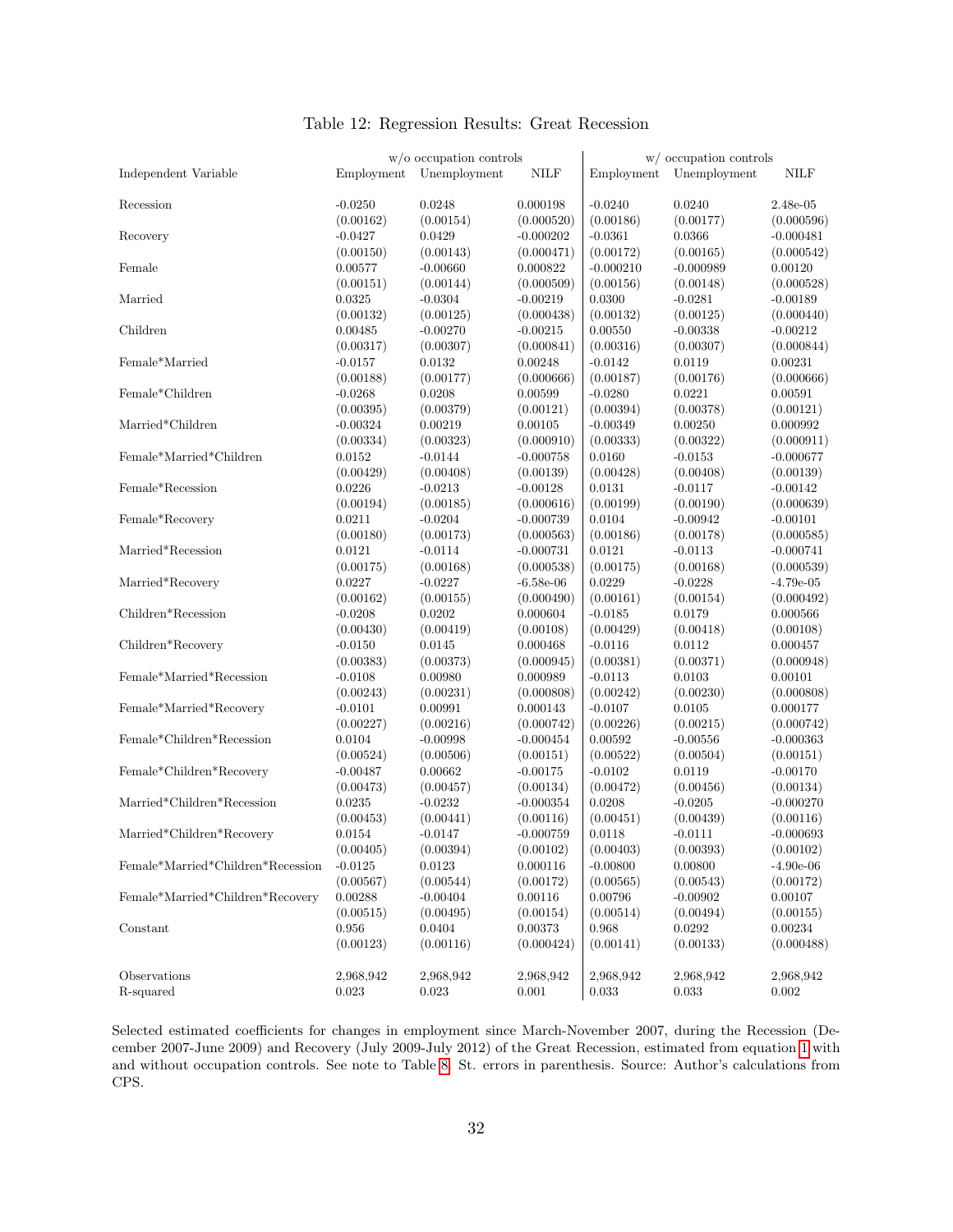|                                   |            | $w/o$ occupation controls |             |             | w/ occupation controls |             |
|-----------------------------------|------------|---------------------------|-------------|-------------|------------------------|-------------|
| Independent Variable              | Employment | Unemployment              | <b>NILF</b> | Employment  | Unemployment           | <b>NILF</b> |
| Recession                         | $-0.0250$  | 0.0248                    | 0.000198    | $-0.0240$   | 0.0240                 | $2.48e-05$  |
|                                   | (0.00162)  | (0.00154)                 | (0.000520)  | (0.00186)   | (0.00177)              | (0.000596)  |
| Recovery                          | $-0.0427$  | 0.0429                    | $-0.000202$ | $-0.0361$   | 0.0366                 | $-0.000481$ |
|                                   | (0.00150)  | (0.00143)                 | (0.000471)  | (0.00172)   | (0.00165)              | (0.000542)  |
| Female                            | 0.00577    | $-0.00660$                | 0.000822    | $-0.000210$ | $-0.000989$            | 0.00120     |
|                                   | (0.00151)  | (0.00144)                 | (0.000509)  | (0.00156)   | (0.00148)              | (0.000528)  |
| Married                           | 0.0325     | $-0.0304$                 | $-0.00219$  | 0.0300      | $-0.0281$              | $-0.00189$  |
|                                   | (0.00132)  | (0.00125)                 | (0.000438)  | (0.00132)   | (0.00125)              | (0.000440)  |
| Children                          | 0.00485    | $-0.00270$                | $-0.00215$  | 0.00550     | $-0.00338$             | $-0.00212$  |
|                                   | (0.00317)  | (0.00307)                 | (0.000841)  | (0.00316)   | (0.00307)              | (0.000844)  |
| Female*Married                    | $-0.0157$  | 0.0132                    | 0.00248     | $-0.0142$   | 0.0119                 | 0.00231     |
|                                   | (0.00188)  | (0.00177)                 | (0.000666)  | (0.00187)   | (0.00176)              | (0.000666)  |
| Female*Children                   | $-0.0268$  | 0.0208                    | 0.00599     | $-0.0280$   | 0.0221                 | 0.00591     |
|                                   | (0.00395)  | (0.00379)                 | (0.00121)   | (0.00394)   | (0.00378)              | (0.00121)   |
| Married*Children                  | $-0.00324$ | 0.00219                   | 0.00105     | $-0.00349$  | 0.00250                | 0.000992    |
|                                   | (0.00334)  | (0.00323)                 | (0.000910)  | (0.00333)   | (0.00322)              | (0.000911)  |
| Female*Married*Children           | 0.0152     | $-0.0144$                 | $-0.000758$ | 0.0160      | $-0.0153$              | $-0.000677$ |
|                                   | (0.00429)  | (0.00408)                 | (0.00139)   | (0.00428)   | (0.00408)              | (0.00139)   |
| Female*Recession                  | 0.0226     | $-0.0213$                 | $-0.00128$  | 0.0131      | $-0.0117$              | $-0.00142$  |
|                                   | (0.00194)  | (0.00185)                 | (0.000616)  | (0.00199)   | (0.00190)              | (0.000639)  |
| Female*Recovery                   | 0.0211     | $-0.0204$                 | $-0.000739$ | 0.0104      | $-0.00942$             | $-0.00101$  |
|                                   | (0.00180)  | (0.00173)                 | (0.000563)  | (0.00186)   | (0.00178)              | (0.000585)  |
| Married*Recession                 | 0.0121     | $-0.0114$                 | $-0.000731$ | 0.0121      | $-0.0113$              | $-0.000741$ |
|                                   | (0.00175)  | (0.00168)                 | (0.000538)  | (0.00175)   | (0.00168)              | (0.000539)  |
| Married*Recovery                  | 0.0227     | $-0.0227$                 | $-6.58e-06$ | 0.0229      | $-0.0228$              | $-4.79e-05$ |
|                                   | (0.00162)  | (0.00155)                 | (0.000490)  | (0.00161)   | (0.00154)              | (0.000492)  |
| Children*Recession                | $-0.0208$  | 0.0202                    | 0.000604    | $-0.0185$   | 0.0179                 | 0.000566    |
|                                   | (0.00430)  | (0.00419)                 | (0.00108)   | (0.00429)   | (0.00418)              | (0.00108)   |
| Children*Recovery                 | $-0.0150$  | 0.0145                    | 0.000468    | $-0.0116$   | 0.0112                 | 0.000457    |
|                                   | (0.00383)  | (0.00373)                 | (0.000945)  | (0.00381)   | (0.00371)              | (0.000948)  |
| Female*Married*Recession          | $-0.0108$  | 0.00980                   | 0.000989    | $-0.0113$   | 0.0103                 | 0.00101     |
|                                   | (0.00243)  | (0.00231)                 | (0.000808)  | (0.00242)   | (0.00230)              | (0.000808)  |
| Female*Married*Recovery           | $-0.0101$  | 0.00991                   | 0.000143    | $-0.0107$   | 0.0105                 | 0.000177    |
|                                   | (0.00227)  | (0.00216)                 | (0.000742)  | (0.00226)   | (0.00215)              | (0.000742)  |
| Female*Children*Recession         | 0.0104     | $-0.00998$                | $-0.000454$ | 0.00592     | $-0.00556$             | $-0.000363$ |
|                                   | (0.00524)  | (0.00506)                 | (0.00151)   | (0.00522)   | (0.00504)              | (0.00151)   |
| Female*Children*Recovery          | $-0.00487$ | 0.00662                   | $-0.00175$  | $-0.0102$   | 0.0119                 | $-0.00170$  |
|                                   | (0.00473)  | (0.00457)                 | (0.00134)   | (0.00472)   | (0.00456)              | (0.00134)   |
| Married*Children*Recession        | 0.0235     | $-0.0232$                 | $-0.000354$ | 0.0208      | $-0.0205$              | $-0.000270$ |
|                                   | (0.00453)  | (0.00441)                 | (0.00116)   | (0.00451)   | (0.00439)              | (0.00116)   |
| Married*Children*Recovery         | 0.0154     | $-0.0147$                 | $-0.000759$ | 0.0118      | $-0.0111$              | $-0.000693$ |
|                                   | (0.00405)  | (0.00394)                 | (0.00102)   | (0.00403)   | (0.00393)              | (0.00102)   |
| Female*Married*Children*Recession | $-0.0125$  | 0.0123                    | 0.000116    | $-0.00800$  | 0.00800                | $-4.90e-06$ |
|                                   | (0.00567)  | (0.00544)                 | (0.00172)   | (0.00565)   | (0.00543)              | (0.00172)   |
| Female*Married*Children*Recovery  | 0.00288    | $-0.00404$                | 0.00116     | 0.00796     | $-0.00902$             | 0.00107     |
|                                   | (0.00515)  | (0.00495)                 | (0.00154)   | (0.00514)   | (0.00494)              | (0.00155)   |
| Constant                          | 0.956      | 0.0404                    | 0.00373     | 0.968       | 0.0292                 | 0.00234     |
|                                   | (0.00123)  | (0.00116)                 | (0.000424)  | (0.00141)   | (0.00133)              | (0.000488)  |
| Observations                      | 2,968,942  | 2,968,942                 | 2,968,942   | 2,968,942   | 2,968,942              | 2,968,942   |
| R-squared                         | 0.023      | $0.023\,$                 | 0.001       | 0.033       | 0.033                  | $0.002\,$   |

### Table 12: Regression Results: Great Recession

Selected estimated coefficients for changes in employment since March-November 2007, during the Recession (December 2007-June 2009) and Recovery (July 2009-July 2012) of the Great Recession, estimated from equation 1 with and without occupation controls. See note to Table 8. St. errors in parenthesis. Source: Author's calculations from CPS.